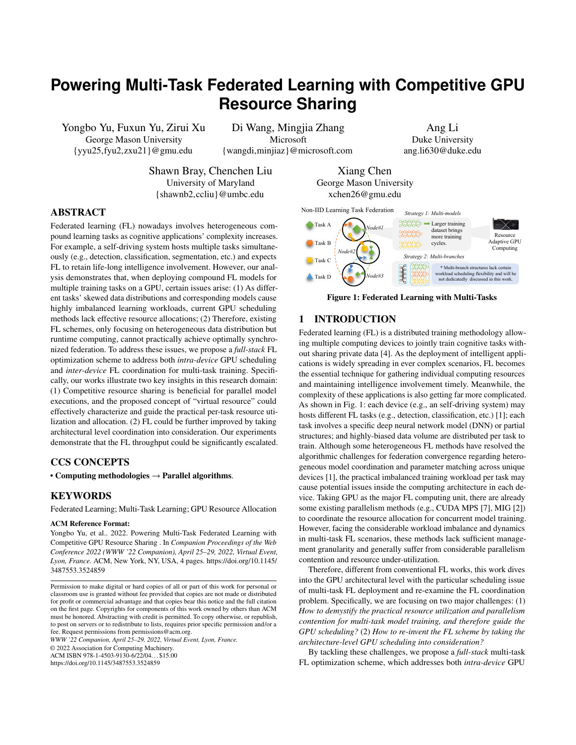# <span id="page-0-1"></span>**Powering Multi-Task Federated Learning with Competitive GPU Resource Sharing**

Yongbo Yu, Fuxun Yu, Zirui Xu George Mason University {yyu25,fyu2,zxu21}@gmu.edu

Di Wang, Mingjia Zhang Microsoft {wangdi,minjiaz}@microsoft.com

Ang Li Duke University ang.li630@duke.edu

*Strategy 2: Multi-branches*

Resource Adaptive GPU Computing

*Strategy 1: Multi-models* XXXX> Larger training dataset brings more training cycles.

Shawn Bray, Chenchen Liu University of Maryland {shawnb2,ccliu}@umbc.edu

Xiang Chen George Mason University xchen26@gmu.edu

*Node#1*

*Node#2*

<span id="page-0-0"></span>Non-IID Learning Task Federation

Task A Task B **Task C** 

# ABSTRACT

Federated learning (FL) nowadays involves heterogeneous compound learning tasks as cognitive applications' complexity increases. For example, a self-driving system hosts multiple tasks simultaneously (e.g., detection, classification, segmentation, etc.) and expects FL to retain life-long intelligence involvement. However, our analysis demonstrates that, when deploying compound FL models for multiple training tasks on a GPU, certain issues arise: (1) As different tasks' skewed data distributions and corresponding models cause highly imbalanced learning workloads, current GPU scheduling methods lack effective resource allocations; (2) Therefore, existing FL schemes, only focusing on heterogeneous data distribution but runtime computing, cannot practically achieve optimally synchronized federation. To address these issues, we propose a *full-stack* FL optimization scheme to address both *intra-device* GPU scheduling and *inter-device* FL coordination for multi-task training. Specifically, our works illustrate two key insights in this research domain: (1) Competitive resource sharing is beneficial for parallel model executions, and the proposed concept of "virtual resource" could effectively characterize and guide the practical per-task resource utilization and allocation. (2) FL could be further improved by taking architectural level coordination into consideration. Our experiments demonstrate that the FL throughput could be significantly escalated.

#### CCS CONCEPTS

• Computing methodologies  $\rightarrow$  Parallel algorithms.

### KEYWORDS

Federated Learning; Multi-Task Learning; GPU Resource Allocation

#### ACM Reference Format:

Yongbo Yu, et al.. 2022. Powering Multi-Task Federated Learning with Competitive GPU Resource Sharing . In *Companion Proceedings of the Web Conference 2022 (WWW '22 Companion), April 25–29, 2022, Virtual Event, Lyon, France.* ACM, New York, NY, USA, [4](#page-3-0) pages. [https://doi.org/10.1145/](https://doi.org/10.1145/3487553.3524859) [3487553.3524859](https://doi.org/10.1145/3487553.3524859)

*WWW '22 Companion, April 25–29, 2022, Virtual Event, Lyon, France.*

© 2022 Association for Computing Machinery.

ACM ISBN 978-1-4503-9130-6/22/04. . . \$15.00

<https://doi.org/10.1145/3487553.3524859>



complexity of these applications is also getting far more complicated. As shown in Fig. [1:](#page-0-0) each device (e.g., an self-driving system) may hosts different FL tasks (e.g., detection, classification, etc.) [\[1\]](#page-3-2); each task involves a specific deep neural network model (DNN) or partial structures; and highly-biased data volume are distributed per task to train. Although some heterogeneous FL methods have resolved the algorithmic challenges for federation convergence regarding heterogeneous model coordination and parameter matching across unique devices [\[1\]](#page-3-2), the practical imbalanced training workload per task may cause potential issues inside the computing architecture in each device. Taking GPU as the major FL computing unit, there are already some existing parallelism methods (e.g., CUDA MPS [\[7\]](#page-3-3), MIG [\[2\]](#page-3-4)) to coordinate the resource allocation for concurrent model training. However, facing the considerable workload imbalance and dynamics in multi-task FL scenarios, these methods lack sufficient management granularity and generally suffer from considerable parallelism contention and resource under-utilization.

Therefore, different from conventional FL works, this work dives into the GPU architectural level with the particular scheduling issue of multi-task FL deployment and re-examine the FL coordination problem. Specifically, we are focusing on two major challenges: (1) *How to demystify the practical resource utilization and parallelism contention for multi-task model training, and therefore guide the GPU scheduling?* (2) *How to re-invent the FL scheme by taking the architecture-level GPU scheduling into consideration?*

By tackling these challenges, we propose a *full-stack* multi-task FL optimization scheme, which addresses both *intra-device* GPU

Permission to make digital or hard copies of all or part of this work for personal or classroom use is granted without fee provided that copies are not made or distributed for profit or commercial advantage and that copies bear this notice and the full citation on the first page. Copyrights for components of this work owned by others than ACM must be honored. Abstracting with credit is permitted. To copy otherwise, or republish, to post on servers or to redistribute to lists, requires prior specific permission and/or a fee. Request permissions from permissions@acm.org.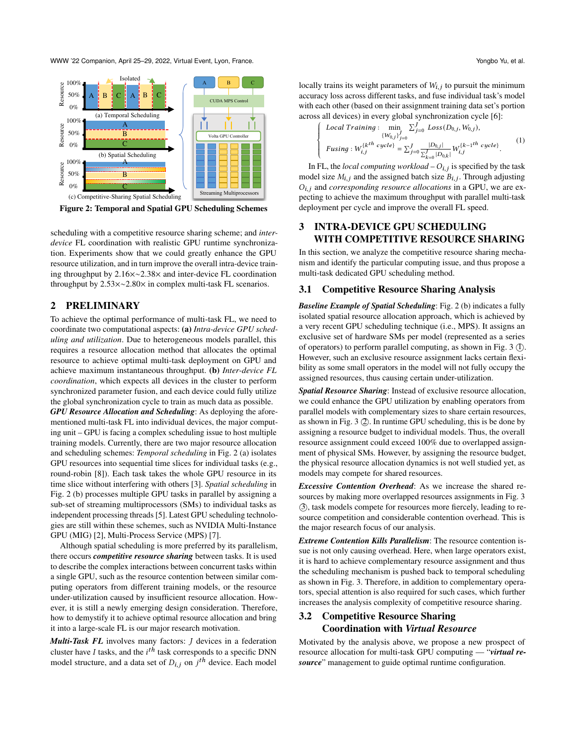WWW '22 Companion, April 25–29, 2022, Virtual Event, Lyon, France. Yongbo Yu, et al.

<span id="page-1-0"></span>

Figure 2: Temporal and Spatial GPU Scheduling Schemes

scheduling with a competitive resource sharing scheme; and *interdevice* FL coordination with realistic GPU runtime synchronization. Experiments show that we could greatly enhance the GPU resource utilization, and in turn improve the overall intra-device training throughput by 2.16×∼2.38× and inter-device FL coordination throughput by 2.53×∼2.80× in complex multi-task FL scenarios.

## 2 PRELIMINARY

To achieve the optimal performance of multi-task FL, we need to coordinate two computational aspects: (a) *Intra-device GPU scheduling and utilization*. Due to heterogeneous models parallel, this requires a resource allocation method that allocates the optimal resource to achieve optimal multi-task deployment on GPU and achieve maximum instantaneous throughput. (b) *Inter-device FL coordination*, which expects all devices in the cluster to perform synchronized parameter fusion, and each device could fully utilize the global synchronization cycle to train as much data as possible. *GPU Resource Allocation and Scheduling*: As deploying the aforementioned multi-task FL into individual devices, the major computing unit – GPU is facing a complex scheduling issue to host multiple training models. Currently, there are two major resource allocation and scheduling schemes: *Temporal scheduling* in Fig. [2](#page-1-0) (a) isolates GPU resources into sequential time slices for individual tasks (e.g., round-robin [\[8\]](#page-3-5)). Each task takes the whole GPU resource in its time slice without interfering with others [\[3\]](#page-3-6). *Spatial scheduling* in Fig. [2](#page-1-0) (b) processes multiple GPU tasks in parallel by assigning a sub-set of streaming multiprocessors (SMs) to individual tasks as independent processing threads [\[5\]](#page-3-7). Latest GPU scheduling technologies are still within these schemes, such as NVIDIA Multi-Instance GPU (MIG) [\[2\]](#page-3-4), Multi-Process Service (MPS) [\[7\]](#page-3-3).

Although spatial scheduling is more preferred by its parallelism, there occurs *competitive resource sharing* between tasks. It is used to describe the complex interactions between concurrent tasks within a single GPU, such as the resource contention between similar computing operators from different training models, or the resource under-utilization caused by insufficient resource allocation. However, it is still a newly emerging design consideration. Therefore, how to demystify it to achieve optimal resource allocation and bring it into a large-scale FL is our major research motivation.

*Multi-Task FL* involves many factors: *J* devices in a federation cluster have I tasks, and the  $i^{th}$  task corresponds to a specific DNN model structure, and a data set of  $D_{i,j}$  on  $j^{th}$  device. Each model locally trains its weight parameters of  $W_{i,j}$  to pursuit the minimum accuracy loss across different tasks, and fuse individual task's model with each other (based on their assignment training data set's portion across all devices) in every global synchronization cycle [\[6\]](#page-3-8):

$$
\begin{cases}\n\text{Local Training}: \quad \min_{\{W_{0,j}\}_{j=0}^{J}} \sum_{j=0}^{J} \text{Loss}(D_{0,j}, W_{0,j}), \\
\text{Fusing}: W_{i,j}^{\{k^{th} \text{ cycle}\}} = \sum_{j=0}^{J} \frac{|D_{0,j}|}{\sum_{k=0}^{J} |D_{0,k}|} W_{i,j}^{\{k-1^{th} \text{ cycle}\}}.\n\end{cases} (1)
$$

In FL, the *local computing workload* –  $O_{i,j}$  is specified by the task model size  $M_{i,j}$  and the assigned batch size  $B_{i,j}$ . Through adjusting  $O_{i,j}$  and *corresponding resource allocations* in a GPU, we are expecting to achieve the maximum throughput with parallel multi-task deployment per cycle and improve the overall FL speed.

## 3 INTRA-DEVICE GPU SCHEDULING WITH COMPETITIVE RESOURCE SHARING

In this section, we analyze the competitive resource sharing mechanism and identify the particular computing issue, and thus propose a multi-task dedicated GPU scheduling method.

### 3.1 Competitive Resource Sharing Analysis

*Baseline Example of Spatial Scheduling*: Fig. [2](#page-1-0) (b) indicates a fully isolated spatial resource allocation approach, which is achieved by a very recent GPU scheduling technique (i.e., MPS). It assigns an exclusive set of hardware SMs per model (represented as a series of operators) to perform parallel computing, as shown in Fig. [3](#page-2-0) (I). However, such an exclusive resource assignment lacks certain flexibility as some small operators in the model will not fully occupy the assigned resources, thus causing certain under-utilization.

*Spatial Resource Sharing*: Instead of exclusive resource allocation, we could enhance the GPU utilization by enabling operators from parallel models with complementary sizes to share certain resources, as shown in Fig.  $3(2)$ . In runtime GPU scheduling, this is be done by assigning a resource budget to individual models. Thus, the overall resource assignment could exceed 100% due to overlapped assignment of physical SMs. However, by assigning the resource budget, the physical resource allocation dynamics is not well studied yet, as models may compete for shared resources.

*Excessive Contention Overhead*: As we increase the shared resources by making more overlapped resources assignments in Fig. [3](#page-2-0) ○3 , task models compete for resources more fiercely, leading to resource competition and considerable contention overhead. This is the major research focus of our analysis.

*Extreme Contention Kills Parallelism*: The resource contention issue is not only causing overhead. Here, when large operators exist, it is hard to achieve complementary resource assignment and thus the scheduling mechanism is pushed back to temporal scheduling as shown in Fig. [3.](#page-2-0) Therefore, in addition to complementary operators, special attention is also required for such cases, which further increases the analysis complexity of competitive resource sharing.

## 3.2 Competitive Resource Sharing Coordination with *Virtual Resource*

Motivated by the analysis above, we propose a new prospect of resource allocation for multi-task GPU computing — "*virtual resource*" management to guide optimal runtime configuration.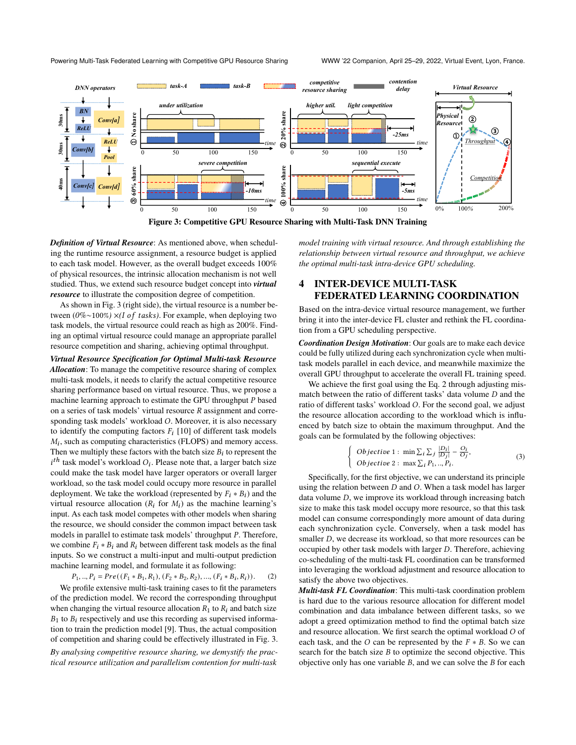<span id="page-2-0"></span>

Figure 3: Competitive GPU Resource Sharing with Multi-Task DNN Training

*Definition of Virtual Resource*: As mentioned above, when scheduling the runtime resource assignment, a resource budget is applied to each task model. However, as the overall budget exceeds 100% of physical resources, the intrinsic allocation mechanism is not well studied. Thus, we extend such resource budget concept into *virtual resource* to illustrate the composition degree of competition.

As shown in Fig. [3](#page-2-0) (right side), the virtual resource is a number between (0%∼100%) ×*(I of tasks)*. For example, when deploying two task models, the virtual resource could reach as high as 200%. Finding an optimal virtual resource could manage an appropriate parallel resource competition and sharing, achieving optimal throughput.

*Virtual Resource Specification for Optimal Multi-task Resource Allocation*: To manage the competitive resource sharing of complex multi-task models, it needs to clarify the actual competitive resource sharing performance based on virtual resource. Thus, we propose a machine learning approach to estimate the GPU throughput  $P$  based on a series of task models' virtual resource  $R$  assignment and corresponding task models' workload  $O$ . Moreover, it is also necessary to identify the computing factors  $F_i$  [\[10\]](#page-3-9) of different task models  $M_i$ , such as computing characteristics (FLOPS) and memory access. Then we multiply these factors with the batch size  $B_i$  to represent the  $i<sup>th</sup>$  task model's workload  $O_i$ . Please note that, a larger batch size could make the task model have larger operators or overall larger workload, so the task model could occupy more resource in parallel deployment. We take the workload (represented by  $F_i * B_i$ ) and the virtual resource allocation  $(R_i \text{ for } M_i)$  as the machine learning's input. As each task model competes with other models when sharing the resource, we should consider the common impact between task models in parallel to estimate task models' throughput  $P$ . Therefore, we combine  $F_i * B_i$  and  $R_i$  between different task models as the final inputs. So we construct a multi-input and multi-output prediction machine learning model, and formulate it as following:

<span id="page-2-1"></span> $P_1, ..., P_i = Pre((F_1 * B_1, R_1), (F_2 * B_2, R_2), ..., (F_i * B_i, R_i)).$  (2)

We profile extensive multi-task training cases to fit the parameters of the prediction model. We record the corresponding throughput when changing the virtual resource allocation  $R_1$  to  $R_i$  and batch size  $B_1$  to  $B_i$  respectively and use this recording as supervised information to train the prediction model [\[9\]](#page-3-10). Thus, the actual composition of competition and sharing could be effectively illustrated in Fig. 3.

*By analysing competitive resource sharing, we demystify the practical resource utilization and parallelism contention for multi-task*

*model training with virtual resource. And through establishing the relationship between virtual resource and throughput, we achieve the optimal multi-task intra-device GPU scheduling.*

## 4 INTER-DEVICE MULTI-TASK FEDERATED LEARNING COORDINATION

Based on the intra-device virtual resource management, we further bring it into the inter-device FL cluster and rethink the FL coordination from a GPU scheduling perspective.

*Coordination Design Motivation*: Our goals are to make each device could be fully utilized during each synchronization cycle when multitask models parallel in each device, and meanwhile maximize the overall GPU throughput to accelerate the overall FL training speed.

We achieve the first goal using the Eq. [2](#page-2-1) through adjusting mismatch between the ratio of different tasks' data volume  $D$  and the ratio of different tasks' workload *O*. For the second goal, we adjust the resource allocation according to the workload which is influenced by batch size to obtain the maximum throughput. And the goals can be formulated by the following objectives:

$$
\begin{cases} \text{Objective 1}: \min \sum_{i} \sum_{j} \frac{|D_i|}{|D_j|} - \frac{O_i}{O_j}, \\ \text{Objective 2}: \max \sum_{i} P_1, ..., P_i. \end{cases} \tag{3}
$$

Specifically, for the first objective, we can understand its principle using the relation between  $D$  and  $O$ . When a task model has larger data volume  $D$ , we improve its workload through increasing batch size to make this task model occupy more resource, so that this task model can consume correspondingly more amount of data during each synchronization cycle. Conversely, when a task model has smaller  $D$ , we decrease its workload, so that more resources can be occupied by other task models with larger  $D$ . Therefore, achieving co-scheduling of the multi-task FL coordination can be transformed into leveraging the workload adjustment and resource allocation to satisfy the above two objectives.

*Multi-task FL Coordination*: This multi-task coordination problem is hard due to the various resource allocation for different model combination and data imbalance between different tasks, so we adopt a greed optimization method to find the optimal batch size and resource allocation. We first search the optimal workload  $O$  of each task, and the  $O$  can be represented by the  $F * B$ . So we can search for the batch size  $B$  to optimize the second objective. This objective only has one variable  $B$ , and we can solve the  $B$  for each